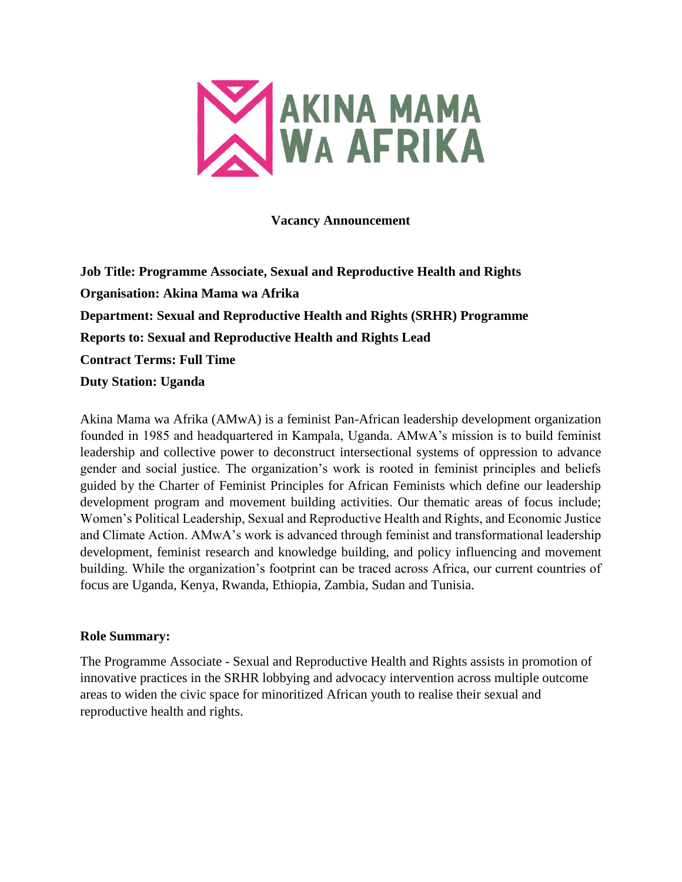

**Vacancy Announcement**

**Job Title: Programme Associate, Sexual and Reproductive Health and Rights Organisation: Akina Mama wa Afrika Department: Sexual and Reproductive Health and Rights (SRHR) Programme Reports to: Sexual and Reproductive Health and Rights Lead Contract Terms: Full Time Duty Station: Uganda**

Akina Mama wa Afrika (AMwA) is a feminist Pan-African leadership development organization founded in 1985 and headquartered in Kampala, Uganda. AMwA's mission is to build feminist leadership and collective power to deconstruct intersectional systems of oppression to advance gender and social justice. The organization's work is rooted in feminist principles and beliefs guided by the Charter of Feminist Principles for African Feminists which define our leadership development program and movement building activities. Our thematic areas of focus include; Women's Political Leadership, Sexual and Reproductive Health and Rights, and Economic Justice and Climate Action. AMwA's work is advanced through feminist and transformational leadership development, feminist research and knowledge building, and policy influencing and movement building. While the organization's footprint can be traced across Africa, our current countries of focus are Uganda, Kenya, Rwanda, Ethiopia, Zambia, Sudan and Tunisia.

### **Role Summary:**

The Programme Associate - Sexual and Reproductive Health and Rights assists in promotion of innovative practices in the SRHR lobbying and advocacy intervention across multiple outcome areas to widen the civic space for minoritized African youth to realise their sexual and reproductive health and rights.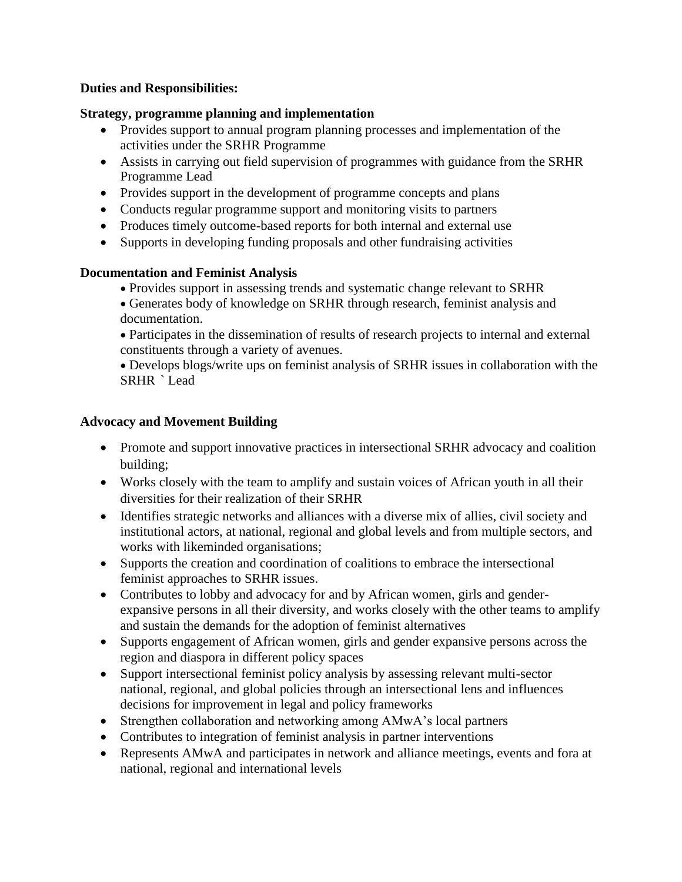### **Duties and Responsibilities:**

#### **Strategy, programme planning and implementation**

- Provides support to annual program planning processes and implementation of the activities under the SRHR Programme
- Assists in carrying out field supervision of programmes with guidance from the SRHR Programme Lead
- Provides support in the development of programme concepts and plans
- Conducts regular programme support and monitoring visits to partners
- Produces timely outcome-based reports for both internal and external use
- Supports in developing funding proposals and other fundraising activities

### **Documentation and Feminist Analysis**

- Provides support in assessing trends and systematic change relevant to SRHR
- Generates body of knowledge on SRHR through research, feminist analysis and documentation.
- Participates in the dissemination of results of research projects to internal and external constituents through a variety of avenues.

 Develops blogs/write ups on feminist analysis of SRHR issues in collaboration with the SRHR ` Lead

### **Advocacy and Movement Building**

- Promote and support innovative practices in intersectional SRHR advocacy and coalition building;
- Works closely with the team to amplify and sustain voices of African youth in all their diversities for their realization of their SRHR
- Identifies strategic networks and alliances with a diverse mix of allies, civil society and institutional actors, at national, regional and global levels and from multiple sectors, and works with likeminded organisations;
- Supports the creation and coordination of coalitions to embrace the intersectional feminist approaches to SRHR issues.
- Contributes to lobby and advocacy for and by African women, girls and genderexpansive persons in all their diversity, and works closely with the other teams to amplify and sustain the demands for the adoption of feminist alternatives
- Supports engagement of African women, girls and gender expansive persons across the region and diaspora in different policy spaces
- Support intersectional feminist policy analysis by assessing relevant multi-sector national, regional, and global policies through an intersectional lens and influences decisions for improvement in legal and policy frameworks
- Strengthen collaboration and networking among AMwA's local partners
- Contributes to integration of feminist analysis in partner interventions
- Represents AMwA and participates in network and alliance meetings, events and fora at national, regional and international levels